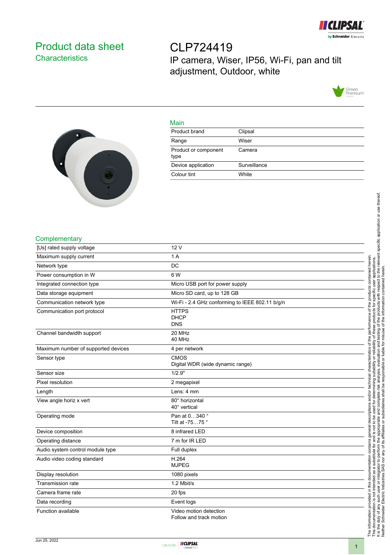

# <span id="page-0-0"></span>Product data sheet **Characteristics**

CLP724419 IP camera, Wiser, IP56, Wi-Fi, pan and tilt adjustment, Outdoor, white



#### Main

| Product brand                | Clipsal      |
|------------------------------|--------------|
| Range                        | Wiser        |
| Product or component<br>type | Camera       |
| Device application           | Surveillance |
| Colour tint                  | White        |
|                              |              |

### **Complementary**

| [Us] rated supply voltage           | 12 V                                              |
|-------------------------------------|---------------------------------------------------|
| Maximum supply current              | 1 A                                               |
| Network type                        | <b>DC</b>                                         |
| Power consumption in W              | 6 W                                               |
| Integrated connection type          | Micro USB port for power supply                   |
| Data storage equipment              | Micro SD card, up to 128 GB                       |
| Communication network type          | Wi-Fi - 2.4 GHz conforming to IEEE 802.11 b/g/n   |
| Communication port protocol         | <b>HTTPS</b><br><b>DHCP</b><br><b>DNS</b>         |
| Channel bandwidth support           | 20 MHz<br>40 MHz                                  |
| Maximum number of supported devices | 4 per network                                     |
| Sensor type                         | <b>CMOS</b><br>Digital WDR (wide dynamic range)   |
| Sensor size                         | 1/2.9"                                            |
| Pixel resolution                    | 2 megapixel                                       |
| Length                              | Lens: 4 mm                                        |
| View angle horiz x vert             | 80° horizontal<br>40° vertical                    |
| Operating mode                      | Pan at 0340°<br>Tilt at -7575°                    |
| Device composition                  | 8 infrared LED                                    |
| Operating distance                  | 7 m for IR LED                                    |
| Audio system control module type    | Full duplex                                       |
| Audio video coding standard         | H.264<br><b>MJPEG</b>                             |
| Display resolution                  | 1080 pixels                                       |
| <b>Transmission rate</b>            | 1.2 Mbit/s                                        |
| Camera frame rate                   | 20 fps                                            |
| Data recording                      | Event logs                                        |
| Function available                  | Video motion detection<br>Follow and track motion |